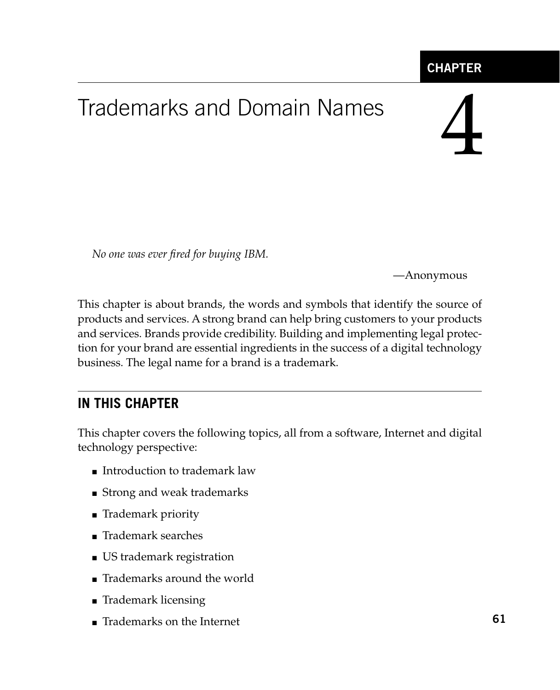# Trademarks and Domain Names

# 4

*No one was ever fi red for buying IBM.*

—Anonymous

This chapter is about brands, the words and symbols that identify the source of products and services. A strong brand can help bring customers to your products and services. Brands provide credibility. Building and implementing legal protection for your brand are essential ingredients in the success of a digital technology business. The legal name for a brand is a trademark.

# **IN THIS CHAPTER**

This chapter covers the following topics, all from a software, Internet and digital technology perspective:

- Introduction to trademark law
- Strong and weak trademarks ■
- Trademark priority
- Trademark searches ■
- US trademark registration
- Trademarks around the world
- Trademark licensing ■
- Trademarks on the Internet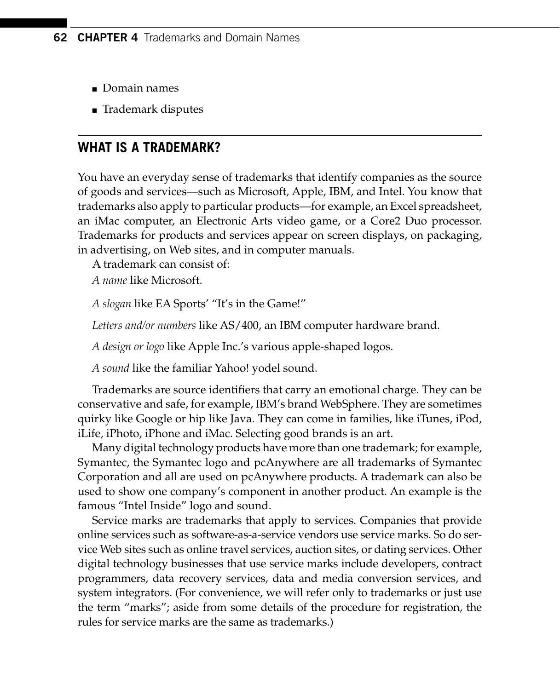- Domain names
- Trademark disputes

# **WHAT IS A TRADEMARK?**

You have an everyday sense of trademarks that identify companies as the source of goods and services—such as Microsoft, Apple, IBM, and Intel. You know that trademarks also apply to particular products—for example, an Excel spreadsheet, an iMac computer, an Electronic Arts video game, or a Core2 Duo processor. Trademarks for products and services appear on screen displays, on packaging, in advertising, on Web sites, and in computer manuals.

A trademark can consist of:

*A name* like Microsoft.

*A slogan* like EA Sports' "It's in the Game!"

*Letters and/or numbers* like AS/400, an IBM computer hardware brand.

*A design or logo* like Apple Inc.'s various apple-shaped logos.

*A sound* like the familiar Yahoo! yodel sound.

Trademarks are source identifiers that carry an emotional charge. They can be conservative and safe, for example, IBM's brand WebSphere. They are sometimes quirky like Google or hip like Java. They can come in families, like iTunes, iPod, iLife, iPhoto, iPhone and iMac. Selecting good brands is an art.

Many digital technology products have more than one trademark; for example, Symantec, the Symantec logo and pcAnywhere are all trademarks of Symantec Corporation and all are used on pcAnywhere products. A trademark can also be used to show one company's component in another product. An example is the famous "Intel Inside" logo and sound.

Service marks are trademarks that apply to services. Companies that provide online services such as software-as-a-service vendors use service marks. So do service Web sites such as online travel services, auction sites, or dating services. Other digital technology businesses that use service marks include developers, contract programmers, data recovery services, data and media conversion services, and system integrators. (For convenience, we will refer only to trademarks or just use the term "marks"; aside from some details of the procedure for registration, the rules for service marks are the same as trademarks.)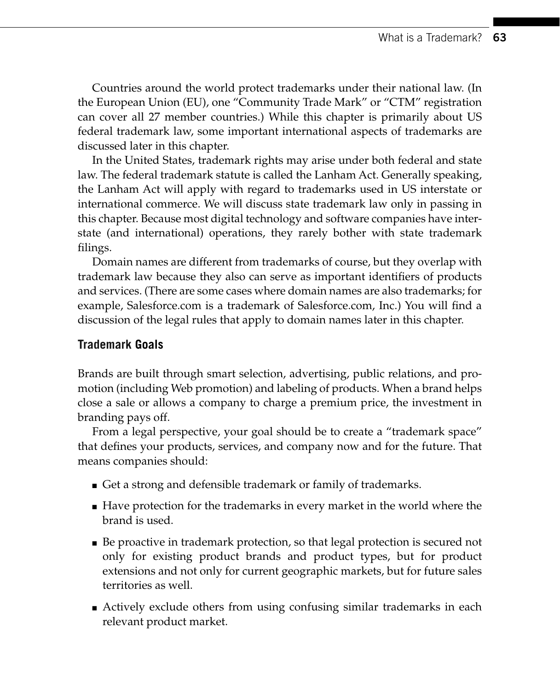Countries around the world protect trademarks under their national law. (In the European Union (EU), one "Community Trade Mark" or "CTM" registration can cover all 27 member countries.) While this chapter is primarily about US federal trademark law, some important international aspects of trademarks are discussed later in this chapter.

In the United States, trademark rights may arise under both federal and state law. The federal trademark statute is called the Lanham Act. Generally speaking, the Lanham Act will apply with regard to trademarks used in US interstate or international commerce. We will discuss state trademark law only in passing in this chapter. Because most digital technology and software companies have interstate (and international) operations, they rarely bother with state trademark filings.

Domain names are different from trademarks of course, but they overlap with trademark law because they also can serve as important identifiers of products and services. (There are some cases where domain names are also trademarks; for example, Salesforce.com is a trademark of Salesforce.com, Inc.) You will find a discussion of the legal rules that apply to domain names later in this chapter.

# **Trademark Goals**

Brands are built through smart selection, advertising, public relations, and promotion (including Web promotion) and labeling of products. When a brand helps close a sale or allows a company to charge a premium price, the investment in branding pays off.

From a legal perspective, your goal should be to create a "trademark space" that defines your products, services, and company now and for the future. That means companies should:

- Get a strong and defensible trademark or family of trademarks.
- Have protection for the trademarks in every market in the world where the brand is used.
- Be proactive in trademark protection, so that legal protection is secured not only for existing product brands and product types, but for product extensions and not only for current geographic markets, but for future sales territories as well.
- Actively exclude others from using confusing similar trademarks in each relevant product market.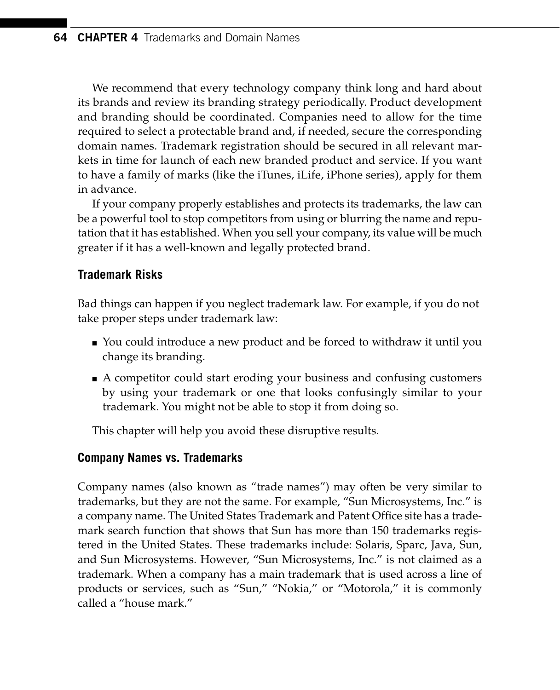We recommend that every technology company think long and hard about its brands and review its branding strategy periodically. Product development and branding should be coordinated. Companies need to allow for the time required to select a protectable brand and, if needed, secure the corresponding domain names. Trademark registration should be secured in all relevant markets in time for launch of each new branded product and service. If you want to have a family of marks (like the iTunes, iLife, iPhone series), apply for them in advance.

If your company properly establishes and protects its trademarks, the law can be a powerful tool to stop competitors from using or blurring the name and reputation that it has established. When you sell your company, its value will be much greater if it has a well-known and legally protected brand.

# **Trademark Risks**

Bad things can happen if you neglect trademark law. For example, if you do not take proper steps under trademark law:

- You could introduce a new product and be forced to withdraw it until you change its branding.
- A competitor could start eroding your business and confusing customers by using your trademark or one that looks confusingly similar to your trademark. You might not be able to stop it from doing so.

This chapter will help you avoid these disruptive results.

# **Company Names vs. Trademarks**

Company names (also known as "trade names") may often be very similar to trademarks, but they are not the same. For example, "Sun Microsystems, Inc." is a company name. The United States Trademark and Patent Office site has a trademark search function that shows that Sun has more than 150 trademarks registered in the United States. These trademarks include: Solaris, Sparc, Java, Sun, and Sun Microsystems. However, "Sun Microsystems, Inc." is not claimed as a trademark. When a company has a main trademark that is used across a line of products or services, such as "Sun," "Nokia," or "Motorola," it is commonly called a "house mark."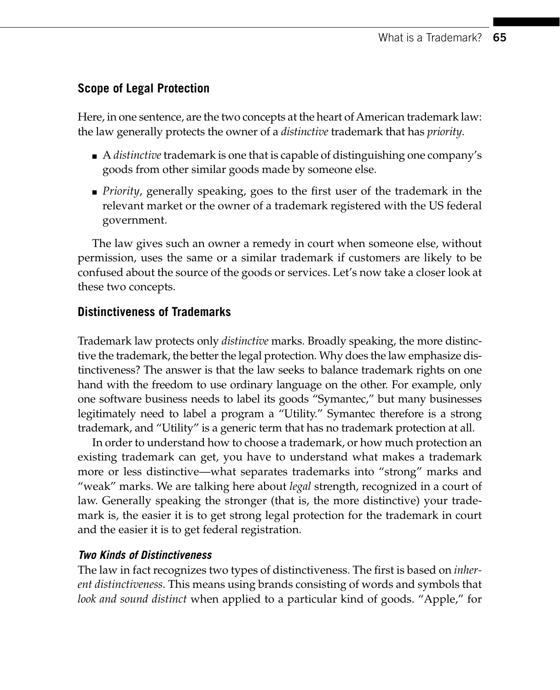# **Scope of Legal Protection**

Here, in one sentence, are the two concepts at the heart of American trademark law: the law generally protects the owner of a *distinctive* trademark that has *priority*.

- A *distinctive* trademark is one that is capable of distinguishing one company's goods from other similar goods made by someone else.
- *Priority,* generally speaking, goes to the first user of the trademark in the relevant market or the owner of a trademark registered with the US federal government.

The law gives such an owner a remedy in court when someone else, without permission, uses the same or a similar trademark if customers are likely to be confused about the source of the goods or services. Let's now take a closer look at these two concepts.

# **Distinctiveness of Trademarks**

Trademark law protects only *distinctive* marks. Broadly speaking, the more distinctive the trademark, the better the legal protection. Why does the law emphasize distinctiveness? The answer is that the law seeks to balance trademark rights on one hand with the freedom to use ordinary language on the other. For example, only one software business needs to label its goods "Symantec," but many businesses legitimately need to label a program a "Utility." Symantec therefore is a strong trademark, and "Utility" is a generic term that has no trademark protection at all.

In order to understand how to choose a trademark, or how much protection an existing trademark can get, you have to understand what makes a trademark more or less distinctive—what separates trademarks into "strong" marks and "weak" marks. We are talking here about *legal* strength, recognized in a court of law. Generally speaking the stronger (that is, the more distinctive) your trademark is, the easier it is to get strong legal protection for the trademark in court and the easier it is to get federal registration.

# *Two Kinds of Distinctiveness*

The law in fact recognizes two types of distinctiveness. The first is based on *inherent distinctiveness.* This means using brands consisting of words and symbols that *look and sound distinct* when applied to a particular kind of goods. "Apple," for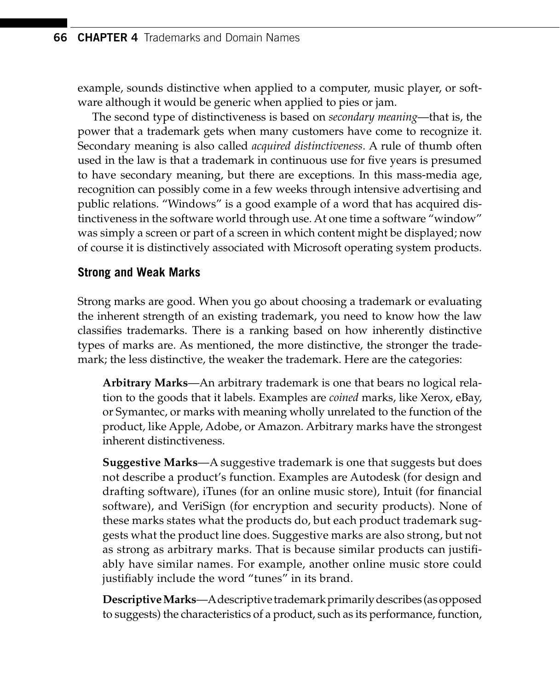example, sounds distinctive when applied to a computer, music player, or software although it would be generic when applied to pies or jam.

The second type of distinctiveness is based on *secondary meaning*—that is, the power that a trademark gets when many customers have come to recognize it. Secondary meaning is also called *acquired distinctiveness*. A rule of thumb often used in the law is that a trademark in continuous use for five years is presumed to have secondary meaning, but there are exceptions. In this mass-media age, recognition can possibly come in a few weeks through intensive advertising and public relations. "Windows" is a good example of a word that has acquired distinctiveness in the software world through use. At one time a software "window" was simply a screen or part of a screen in which content might be displayed; now of course it is distinctively associated with Microsoft operating system products.

# **Strong and Weak Marks**

Strong marks are good. When you go about choosing a trademark or evaluating the inherent strength of an existing trademark, you need to know how the law classifies trademarks. There is a ranking based on how inherently distinctive types of marks are. As mentioned, the more distinctive, the stronger the trademark; the less distinctive, the weaker the trademark. Here are the categories:

**Arbitrary Marks**—An arbitrary trademark is one that bears no logical relation to the goods that it labels. Examples are *coined* marks, like Xerox, eBay, or Symantec, or marks with meaning wholly unrelated to the function of the product, like Apple, Adobe, or Amazon. Arbitrary marks have the strongest inherent distinctiveness.

**Suggestive Marks**—A suggestive trademark is one that suggests but does not describe a product's function. Examples are Autodesk (for design and drafting software), iTunes (for an online music store), Intuit (for financial software), and VeriSign (for encryption and security products). None of these marks states what the products do, but each product trademark suggests what the product line does. Suggestive marks are also strong, but not as strong as arbitrary marks. That is because similar products can justifiably have similar names. For example, another online music store could justifiably include the word "tunes" in its brand.

**Descriptive Marks**—A descriptive trademark primarily describes (as opposed to suggests) the characteristics of a product, such as its performance, function,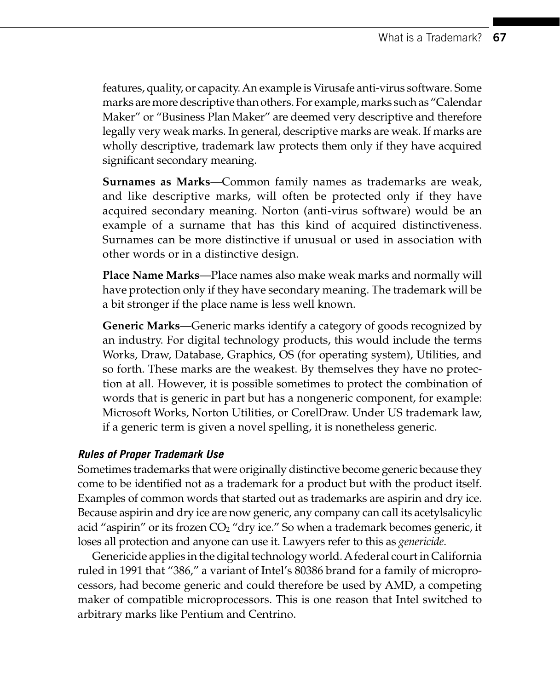features, quality, or capacity. An example is Virusafe anti-virus software. Some marks are more descriptive than others. For example, marks such as "Calendar Maker" or "Business Plan Maker" are deemed very descriptive and therefore legally very weak marks. In general, descriptive marks are weak. If marks are wholly descriptive, trademark law protects them only if they have acquired significant secondary meaning.

**Surnames as Marks**—Common family names as trademarks are weak, and like descriptive marks, will often be protected only if they have acquired secondary meaning. Norton (anti-virus software) would be an example of a surname that has this kind of acquired distinctiveness. Surnames can be more distinctive if unusual or used in association with other words or in a distinctive design.

**Place Name Marks**—Place names also make weak marks and normally will have protection only if they have secondary meaning. The trademark will be a bit stronger if the place name is less well known.

**Generic Marks**—Generic marks identify a category of goods recognized by an industry. For digital technology products, this would include the terms Works, Draw, Database, Graphics, OS (for operating system), Utilities, and so forth. These marks are the weakest. By themselves they have no protection at all. However, it is possible sometimes to protect the combination of words that is generic in part but has a nongeneric component, for example: Microsoft Works, Norton Utilities, or CorelDraw. Under US trademark law, if a generic term is given a novel spelling, it is nonetheless generic.

# *Rules of Proper Trademark Use*

Sometimes trademarks that were originally distinctive become generic because they come to be identified not as a trademark for a product but with the product itself. Examples of common words that started out as trademarks are aspirin and dry ice. Because aspirin and dry ice are now generic, any company can call its acetylsalicylic acid "aspirin" or its frozen  $CO<sub>2</sub>$ "dry ice." So when a trademark becomes generic, it loses all protection and anyone can use it. Lawyers refer to this as *genericide*.

Genericide applies in the digital technology world. A federal court in California ruled in 1991 that "386," a variant of Intel's 80386 brand for a family of microprocessors, had become generic and could therefore be used by AMD, a competing maker of compatible microprocessors. This is one reason that Intel switched to arbitrary marks like Pentium and Centrino.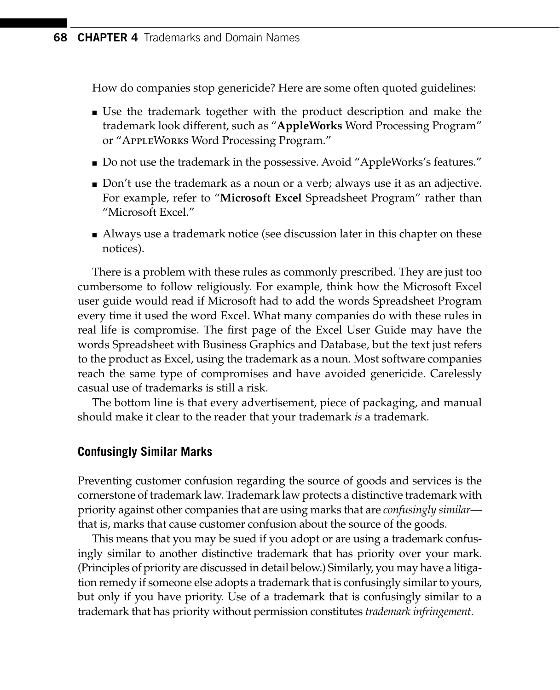How do companies stop genericide? Here are some often quoted guidelines:

- Use the trademark together with the product description and make the trademark look different, such as "**AppleWorks** Word Processing Program" or "AppleWorks Word Processing Program."
- Do not use the trademark in the possessive. Avoid "AppleWorks's features."
- Don't use the trademark as a noun or a verb; always use it as an adjective. For example, refer to "**Microsoft Excel** Spreadsheet Program" rather than "Microsoft Excel."
- Always use a trademark notice (see discussion later in this chapter on these notices).

There is a problem with these rules as commonly prescribed. They are just too cumbersome to follow religiously. For example, think how the Microsoft Excel user guide would read if Microsoft had to add the words Spreadsheet Program every time it used the word Excel. What many companies do with these rules in real life is compromise. The first page of the Excel User Guide may have the words Spreadsheet with Business Graphics and Database, but the text just refers to the product as Excel, using the trademark as a noun. Most software companies reach the same type of compromises and have avoided genericide. Carelessly casual use of trademarks is still a risk.

The bottom line is that every advertisement, piece of packaging, and manual should make it clear to the reader that your trademark *is* a trademark.

# **Confusingly Similar Marks**

Preventing customer confusion regarding the source of goods and services is the cornerstone of trademark law. Trademark law protects a distinctive trademark with priority against other companies that are using marks that are *confusingly similar* that is, marks that cause customer confusion about the source of the goods.

This means that you may be sued if you adopt or are using a trademark confusingly similar to another distinctive trademark that has priority over your mark. (Principles of priority are discussed in detail below.) Similarly, you may have a litigation remedy if someone else adopts a trademark that is confusingly similar to yours, but only if you have priority. Use of a trademark that is confusingly similar to a trademark that has priority without permission constitutes *trademark infringement*.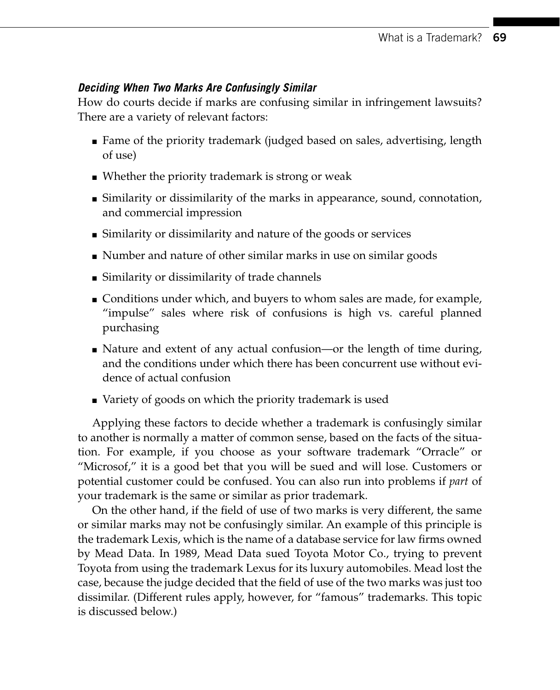# *Deciding When Two Marks Are Confusingly Similar*

How do courts decide if marks are confusing similar in infringement lawsuits? There are a variety of relevant factors:

- Fame of the priority trademark (judged based on sales, advertising, length of use)
- Whether the priority trademark is strong or weak
- Similarity or dissimilarity of the marks in appearance, sound, connotation, and commercial impression
- Similarity or dissimilarity and nature of the goods or services
- Number and nature of other similar marks in use on similar goods
- Similarity or dissimilarity of trade channels
- Conditions under which, and buyers to whom sales are made, for example, "impulse" sales where risk of confusions is high vs. careful planned purchasing
- Nature and extent of any actual confusion—or the length of time during, and the conditions under which there has been concurrent use without evidence of actual confusion
- Variety of goods on which the priority trademark is used

Applying these factors to decide whether a trademark is confusingly similar to another is normally a matter of common sense, based on the facts of the situation. For example, if you choose as your software trademark "Orracle" or "Microsof," it is a good bet that you will be sued and will lose. Customers or potential customer could be confused. You can also run into problems if *part* of your trademark is the same or similar as prior trademark.

On the other hand, if the field of use of two marks is very different, the same or similar marks may not be confusingly similar. An example of this principle is the trademark Lexis, which is the name of a database service for law firms owned by Mead Data. In 1989, Mead Data sued Toyota Motor Co., trying to prevent Toyota from using the trademark Lexus for its luxury automobiles. Mead lost the case, because the judge decided that the field of use of the two marks was just too dissimilar. (Different rules apply, however, for "famous" trademarks. This topic is discussed below.)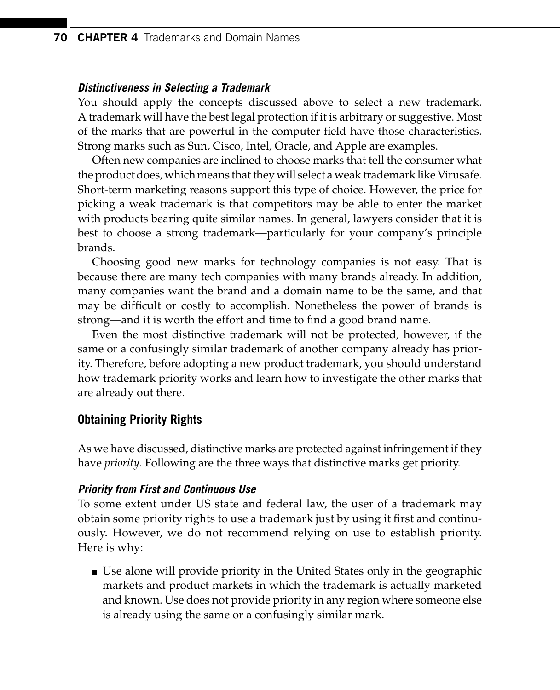## *Distinctiveness in Selecting a Trademark*

You should apply the concepts discussed above to select a new trademark. A trademark will have the best legal protection if it is arbitrary or suggestive. Most of the marks that are powerful in the computer field have those characteristics. Strong marks such as Sun, Cisco, Intel, Oracle, and Apple are examples.

Often new companies are inclined to choose marks that tell the consumer what the product does, which means that they will select a weak trademark like Virusafe. Short-term marketing reasons support this type of choice. However, the price for picking a weak trademark is that competitors may be able to enter the market with products bearing quite similar names. In general, lawyers consider that it is best to choose a strong trademark—particularly for your company's principle brands.

Choosing good new marks for technology companies is not easy. That is because there are many tech companies with many brands already. In addition, many companies want the brand and a domain name to be the same, and that may be difficult or costly to accomplish. Nonetheless the power of brands is strong—and it is worth the effort and time to find a good brand name.

Even the most distinctive trademark will not be protected, however, if the same or a confusingly similar trademark of another company already has priority. Therefore, before adopting a new product trademark, you should understand how trademark priority works and learn how to investigate the other marks that are already out there.

# **Obtaining Priority Rights**

As we have discussed, distinctive marks are protected against infringement if they have *priority*. Following are the three ways that distinctive marks get priority.

# *Priority from First and Continuous Use*

To some extent under US state and federal law, the user of a trademark may obtain some priority rights to use a trademark just by using it first and continuously. However, we do not recommend relying on use to establish priority. Here is why:

■ Use alone will provide priority in the United States only in the geographic markets and product markets in which the trademark is actually marketed and known. Use does not provide priority in any region where someone else is already using the same or a confusingly similar mark.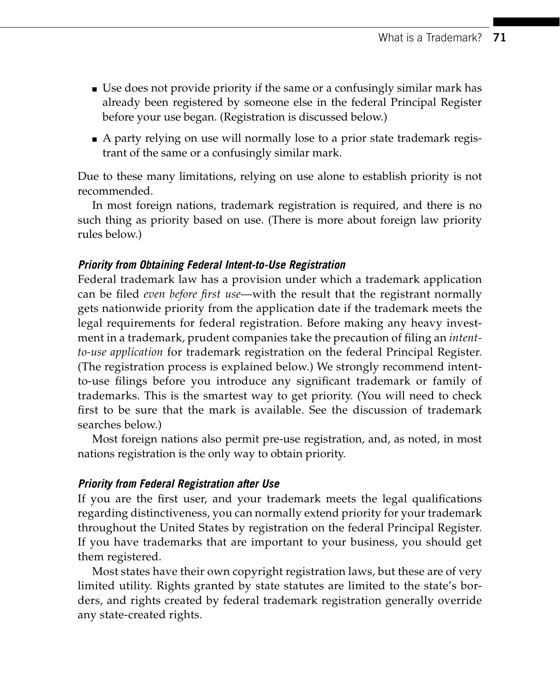- Use does not provide priority if the same or a confusingly similar mark has already been registered by someone else in the federal Principal Register before your use began. (Registration is discussed below.)
- A party relying on use will normally lose to a prior state trademark registrant of the same or a confusingly similar mark.

Due to these many limitations, relying on use alone to establish priority is not recommended.

In most foreign nations, trademark registration is required, and there is no such thing as priority based on use. (There is more about foreign law priority rules below.)

# *Priority from Obtaining Federal Intent-to-Use Registration*

Federal trademark law has a provision under which a trademark application can be filed *even before first use*—with the result that the registrant normally gets nationwide priority from the application date if the trademark meets the legal requirements for federal registration. Before making any heavy investment in a trademark, prudent companies take the precaution of filing an *intentto-use application* for trademark registration on the federal Principal Register. (The registration process is explained below.) We strongly recommend intentto-use filings before you introduce any significant trademark or family of trademarks. This is the smartest way to get priority. (You will need to check first to be sure that the mark is available. See the discussion of trademark searches below.)

Most foreign nations also permit pre-use registration, and, as noted, in most nations registration is the only way to obtain priority.

# *Priority from Federal Registration after Use*

If you are the first user, and your trademark meets the legal qualifications regarding distinctiveness, you can normally extend priority for your trademark throughout the United States by registration on the federal Principal Register. If you have trademarks that are important to your business, you should get them registered.

Most states have their own copyright registration laws, but these are of very limited utility. Rights granted by state statutes are limited to the state's borders, and rights created by federal trademark registration generally override any state-created rights.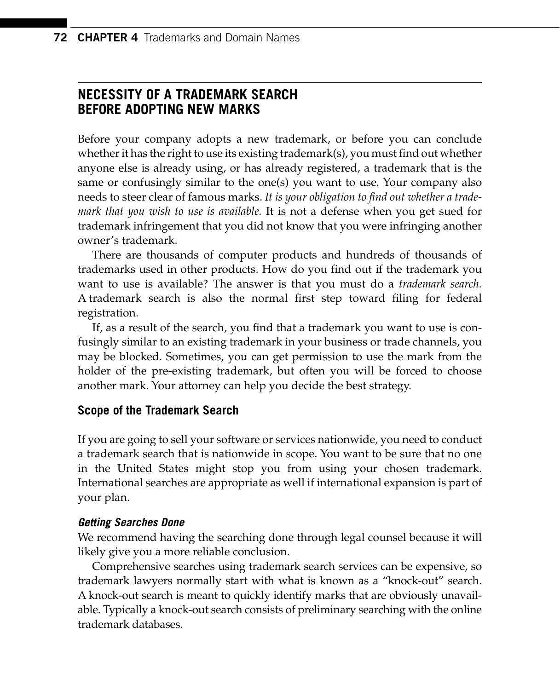# **NECESSITY OF A TRADEMARK SEARCH BEFORE ADOPTING NEW MARKS**

Before your company adopts a new trademark, or before you can conclude whether it has the right to use its existing trademark(s), you must find out whether anyone else is already using, or has already registered, a trademark that is the same or confusingly similar to the one(s) you want to use. Your company also needs to steer clear of famous marks. *It is your obligation to fi nd out whether a trademark that you wish to use is available.* It is not a defense when you get sued for trademark infringement that you did not know that you were infringing another owner's trademark.

There are thousands of computer products and hundreds of thousands of trademarks used in other products. How do you find out if the trademark you want to use is available? The answer is that you must do a *trademark search.* A trademark search is also the normal first step toward filing for federal registration.

If, as a result of the search, you find that a trademark you want to use is confusingly similar to an existing trademark in your business or trade channels, you may be blocked. Sometimes, you can get permission to use the mark from the holder of the pre-existing trademark, but often you will be forced to choose another mark. Your attorney can help you decide the best strategy.

# **Scope of the Trademark Search**

If you are going to sell your software or services nationwide, you need to conduct a trademark search that is nationwide in scope. You want to be sure that no one in the United States might stop you from using your chosen trademark. International searches are appropriate as well if international expansion is part of your plan.

# *Getting Searches Done*

We recommend having the searching done through legal counsel because it will likely give you a more reliable conclusion.

Comprehensive searches using trademark search services can be expensive, so trademark lawyers normally start with what is known as a "knock-out" search. A knock-out search is meant to quickly identify marks that are obviously unavailable. Typically a knock-out search consists of preliminary searching with the online trademark databases.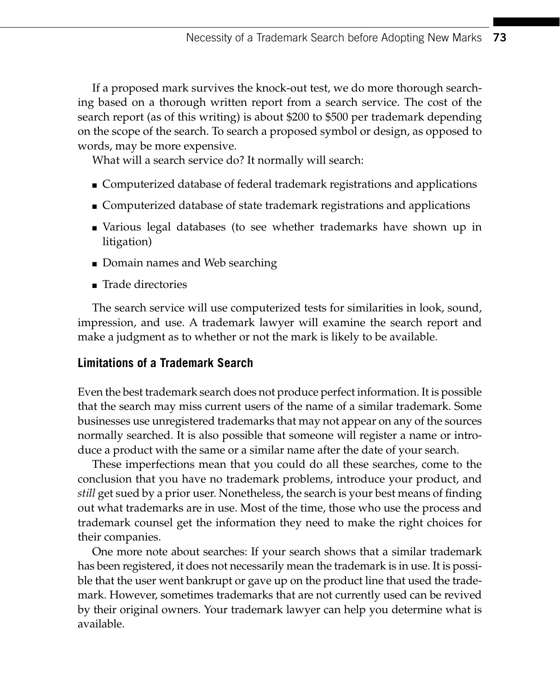If a proposed mark survives the knock-out test, we do more thorough searching based on a thorough written report from a search service. The cost of the search report (as of this writing) is about \$200 to \$500 per trademark depending on the scope of the search. To search a proposed symbol or design, as opposed to words, may be more expensive.

What will a search service do? It normally will search:

- Computerized database of federal trademark registrations and applications ■
- Computerized database of state trademark registrations and applications ■
- Various legal databases (to see whether trademarks have shown up in litigation)
- Domain names and Web searching
- Trade directories

The search service will use computerized tests for similarities in look, sound, impression, and use. A trademark lawyer will examine the search report and make a judgment as to whether or not the mark is likely to be available.

# **Limitations of a Trademark Search**

Even the best trademark search does not produce perfect information. It is possible that the search may miss current users of the name of a similar trademark. Some businesses use unregistered trademarks that may not appear on any of the sources normally searched. It is also possible that someone will register a name or introduce a product with the same or a similar name after the date of your search.

These imperfections mean that you could do all these searches, come to the conclusion that you have no trademark problems, introduce your product, and *still* get sued by a prior user. Nonetheless, the search is your best means of finding out what trademarks are in use. Most of the time, those who use the process and trademark counsel get the information they need to make the right choices for their companies.

One more note about searches: If your search shows that a similar trademark has been registered, it does not necessarily mean the trademark is in use. It is possible that the user went bankrupt or gave up on the product line that used the trademark. However, sometimes trademarks that are not currently used can be revived by their original owners. Your trademark lawyer can help you determine what is available.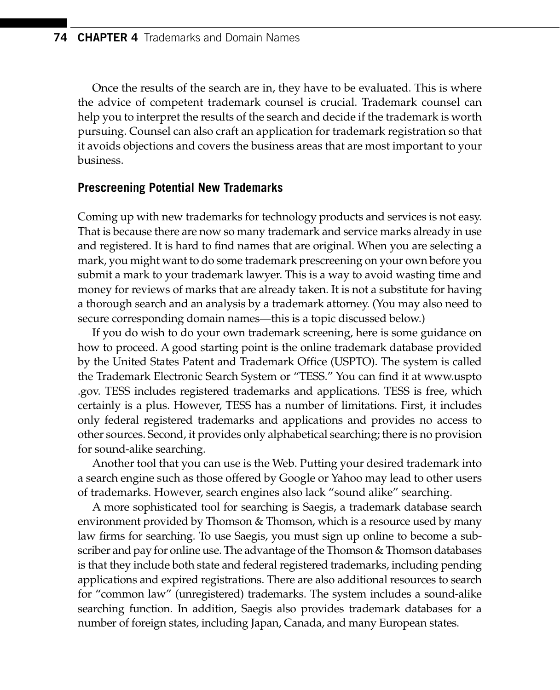Once the results of the search are in, they have to be evaluated. This is where the advice of competent trademark counsel is crucial. Trademark counsel can help you to interpret the results of the search and decide if the trademark is worth pursuing. Counsel can also craft an application for trademark registration so that it avoids objections and covers the business areas that are most important to your business.

# **Prescreening Potential New Trademarks**

Coming up with new trademarks for technology products and services is not easy. That is because there are now so many trademark and service marks already in use and registered. It is hard to find names that are original. When you are selecting a mark, you might want to do some trademark prescreening on your own before you submit a mark to your trademark lawyer. This is a way to avoid wasting time and money for reviews of marks that are already taken. It is not a substitute for having a thorough search and an analysis by a trademark attorney. (You may also need to secure corresponding domain names—this is a topic discussed below.)

If you do wish to do your own trademark screening, here is some guidance on how to proceed. A good starting point is the online trademark database provided by the United States Patent and Trademark Office (USPTO). The system is called the Trademark Electronic Search System or "TESS." You can find it at www.uspto .gov. TESS includes registered trademarks and applications. TESS is free, which certainly is a plus. However, TESS has a number of limitations. First, it includes only federal registered trademarks and applications and provides no access to other sources. Second, it provides only alphabetical searching; there is no provision for sound-alike searching.

Another tool that you can use is the Web. Putting your desired trademark into a search engine such as those offered by Google or Yahoo may lead to other users of trademarks. However, search engines also lack "sound alike" searching.

A more sophisticated tool for searching is Saegis, a trademark database search environment provided by Thomson & Thomson, which is a resource used by many law firms for searching. To use Saegis, you must sign up online to become a subscriber and pay for online use. The advantage of the Thomson & Thomson databases is that they include both state and federal registered trademarks, including pending applications and expired registrations. There are also additional resources to search for "common law" (unregistered) trademarks. The system includes a sound-alike searching function. In addition, Saegis also provides trademark databases for a number of foreign states, including Japan, Canada, and many European states.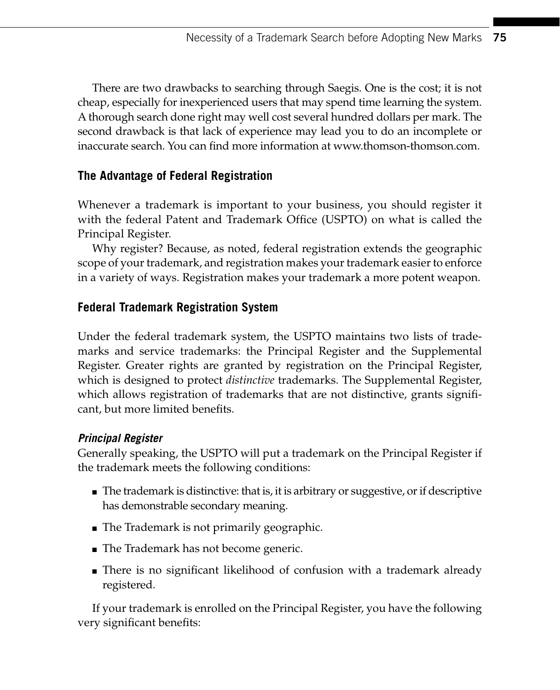There are two drawbacks to searching through Saegis. One is the cost; it is not cheap, especially for inexperienced users that may spend time learning the system. Athorough search done right may well cost several hundred dollars per mark. The second drawback is that lack of experience may lead you to do an incomplete or inaccurate search. You can find more information at www.thomson-thomson.com.

# **The Advantage of Federal Registration**

Whenever a trademark is important to your business, you should register it with the federal Patent and Trademark Office (USPTO) on what is called the Principal Register.

Why register? Because, as noted, federal registration extends the geographic scope of your trademark, and registration makes your trademark easier to enforce in a variety of ways. Registration makes your trademark a more potent weapon.

# **Federal Trademark Registration System**

Under the federal trademark system, the USPTO maintains two lists of trademarks and service trademarks: the Principal Register and the Supplemental Register. Greater rights are granted by registration on the Principal Register, which is designed to protect *distinctive* trademarks. The Supplemental Register, which allows registration of trademarks that are not distinctive, grants significant, but more limited benefits.

# *Principal Register*

Generally speaking, the USPTO will put a trademark on the Principal Register if the trademark meets the following conditions:

- The trademark is distinctive: that is, it is arbitrary or suggestive, or if descriptive has demonstrable secondary meaning.
- The Trademark is not primarily geographic.
- The Trademark has not become generic.
- There is no significant likelihood of confusion with a trademark already registered.

If your trademark is enrolled on the Principal Register, you have the following very significant benefits: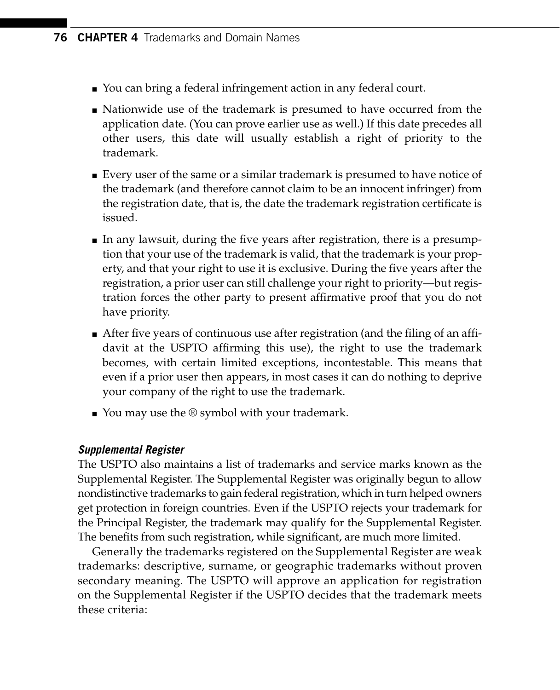- You can bring a federal infringement action in any federal court.
- Nationwide use of the trademark is presumed to have occurred from the application date. (You can prove earlier use as well.) If this date precedes all other users, this date will usually establish a right of priority to the trademark.
- $\blacksquare$  Every user of the same or a similar trademark is presumed to have notice of the trademark (and therefore cannot claim to be an innocent infringer) from the registration date, that is, the date the trademark registration certificate is issued.
- In any lawsuit, during the five years after registration, there is a presumption that your use of the trademark is valid, that the trademark is your property, and that your right to use it is exclusive. During the five years after the registration, a prior user can still challenge your right to priority—but registration forces the other party to present affirmative proof that you do not have priority.
- $\blacksquare$  After five years of continuous use after registration (and the filing of an affidavit at the USPTO affirming this use), the right to use the trademark becomes, with certain limited exceptions, incontestable. This means that even if a prior user then appears, in most cases it can do nothing to deprive your company of the right to use the trademark.
- You may use the ® symbol with your trademark. ■

# *Supplemental Register*

The USPTO also maintains a list of trademarks and service marks known as the Supplemental Register. The Supplemental Register was originally begun to allow nondistinctive trademarks to gain federal registration, which in turn helped owners get protection in foreign countries. Even if the USPTO rejects your trademark for the Principal Register, the trademark may qualify for the Supplemental Register. The benefits from such registration, while significant, are much more limited.

Generally the trademarks registered on the Supplemental Register are weak trademarks: descriptive, surname, or geographic trademarks without proven secondary meaning. The USPTO will approve an application for registration on the Supplemental Register if the USPTO decides that the trademark meets these criteria: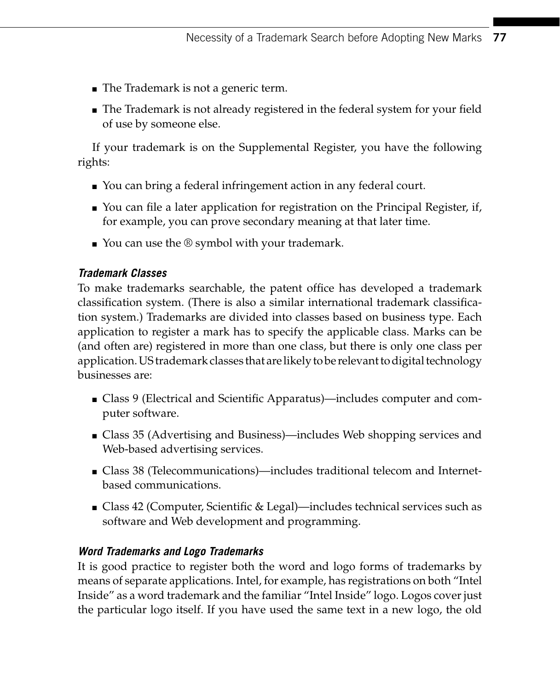- The Trademark is not a generic term.
- $\blacksquare$  The Trademark is not already registered in the federal system for your field of use by someone else.

If your trademark is on the Supplemental Register, you have the following rights:

- You can bring a federal infringement action in any federal court.
- $\blacksquare$  You can file a later application for registration on the Principal Register, if, for example, you can prove secondary meaning at that later time.
- You can use the ® symbol with your trademark. ■

# *Trademark Classes*

To make trademarks searchable, the patent office has developed a trademark classification system. (There is also a similar international trademark classification system.) Trademarks are divided into classes based on business type. Each application to register a mark has to specify the applicable class. Marks can be (and often are) registered in more than one class, but there is only one class per application. US trademark classes that are likely to be relevant to digital technology businesses are:

- Class 9 (Electrical and Scientific Apparatus)—includes computer and computer software.
- Class 35 (Advertising and Business)—includes Web shopping services and Web-based advertising services.
- Class 38 (Telecommunications)—includes traditional telecom and Internetbased communications.
- Class 42 (Computer, Scientific & Legal)—includes technical services such as software and Web development and programming.

# *Word Trademarks and Logo Trademarks*

It is good practice to register both the word and logo forms of trademarks by means of separate applications. Intel, for example, has registrations on both "Intel Inside" as a word trademark and the familiar "Intel Inside" logo. Logos cover just the particular logo itself. If you have used the same text in a new logo, the old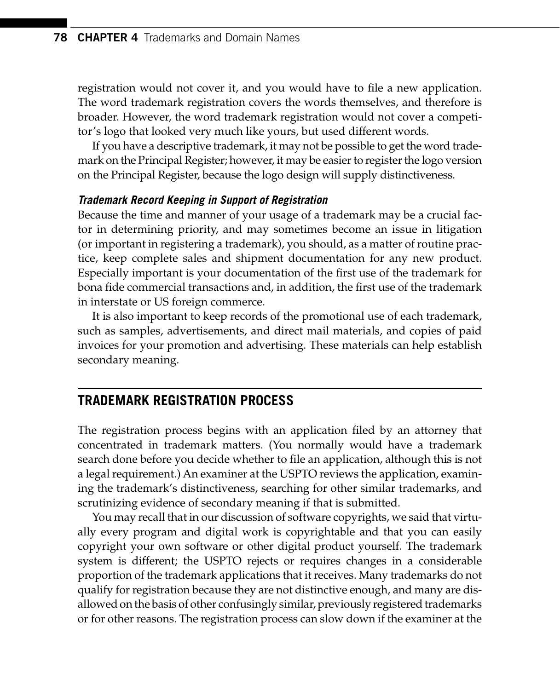registration would not cover it, and you would have to file a new application. The word trademark registration covers the words themselves, and therefore is broader. However, the word trademark registration would not cover a competitor's logo that looked very much like yours, but used different words.

If you have a descriptive trademark, it may not be possible to get the word trademark on the Principal Register; however, it may be easier to register the logo version on the Principal Register, because the logo design will supply distinctiveness.

### *Trademark Record Keeping in Support of Registration*

Because the time and manner of your usage of a trademark may be a crucial factor in determining priority, and may sometimes become an issue in litigation (or important in registering a trademark), you should, as a matter of routine practice, keep complete sales and shipment documentation for any new product. Especially important is your documentation of the first use of the trademark for bona fide commercial transactions and, in addition, the first use of the trademark in interstate or US foreign commerce.

It is also important to keep records of the promotional use of each trademark, such as samples, advertisements, and direct mail materials, and copies of paid invoices for your promotion and advertising. These materials can help establish secondary meaning.

# **TRADEMARK REGISTRATION PROCESS**

The registration process begins with an application filed by an attorney that concentrated in trademark matters. (You normally would have a trademark search done before you decide whether to file an application, although this is not a legal requirement.) An examiner at the USPTO reviews the application, examining the trademark's distinctiveness, searching for other similar trademarks, and scrutinizing evidence of secondary meaning if that is submitted.

You may recall that in our discussion of software copyrights, we said that virtually every program and digital work is copyrightable and that you can easily copyright your own software or other digital product yourself. The trademark system is different; the USPTO rejects or requires changes in a considerable proportion of the trademark applications that it receives. Many trademarks do not qualify for registration because they are not distinctive enough, and many are disallowed on the basis of other confusingly similar, previously registered trademarks or for other reasons. The registration process can slow down if the examiner at the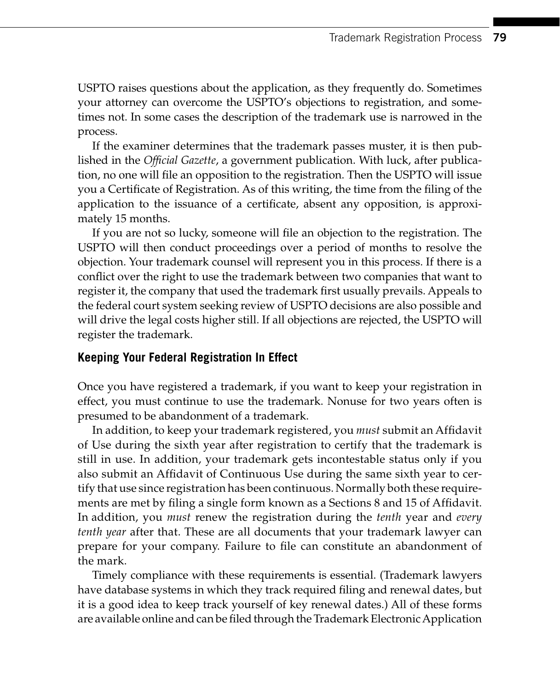USPTO raises questions about the application, as they frequently do. Sometimes your attorney can overcome the USPTO's objections to registration, and sometimes not. In some cases the description of the trademark use is narrowed in the process.

If the examiner determines that the trademark passes muster, it is then published in the *Official Gazette*, a government publication. With luck, after publication, no one will file an opposition to the registration. Then the USPTO will issue you a Certificate of Registration. As of this writing, the time from the filing of the application to the issuance of a certificate, absent any opposition, is approximately 15 months.

If you are not so lucky, someone will file an objection to the registration. The USPTO will then conduct proceedings over a period of months to resolve the objection. Your trademark counsel will represent you in this process. If there is a conflict over the right to use the trademark between two companies that want to register it, the company that used the trademark first usually prevails. Appeals to the federal court system seeking review of USPTO decisions are also possible and will drive the legal costs higher still. If all objections are rejected, the USPTO will register the trademark.

# **Keeping Your Federal Registration In Effect**

Once you have registered a trademark, if you want to keep your registration in effect, you must continue to use the trademark. Nonuse for two years often is presumed to be abandonment of a trademark.

In addition, to keep your trademark registered, you *must* submit an Affidavit of Use during the sixth year after registration to certify that the trademark is still in use. In addition, your trademark gets incontestable status only if you also submit an Affidavit of Continuous Use during the same sixth year to certify that use since registration has been continuous. Normally both these requirements are met by filing a single form known as a Sections 8 and 15 of Affidavit. In addition, you *must* renew the registration during the *tenth* year and *every tenth year* after that. These are all documents that your trademark lawyer can prepare for your company. Failure to file can constitute an abandonment of the mark.

Timely compliance with these requirements is essential. (Trademark lawyers have database systems in which they track required filing and renewal dates, but it is a good idea to keep track yourself of key renewal dates.) All of these forms are available online and can be filed through the Trademark Electronic Application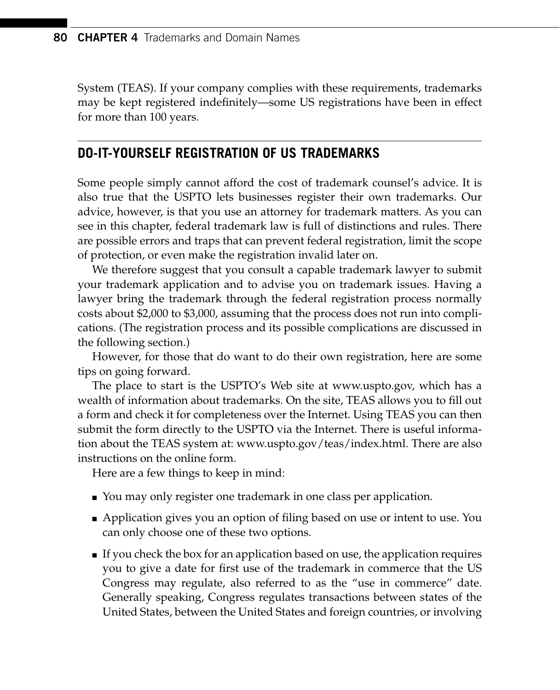System (TEAS). If your company complies with these requirements, trademarks may be kept registered indefinitely—some US registrations have been in effect for more than 100 years.

# **DO-IT-YOURSELF REGISTRATION OF US TRADEMARKS**

Some people simply cannot afford the cost of trademark counsel's advice. It is also true that the USPTO lets businesses register their own trademarks. Our advice, however, is that you use an attorney for trademark matters. As you can see in this chapter, federal trademark law is full of distinctions and rules. There are possible errors and traps that can prevent federal registration, limit the scope of protection, or even make the registration invalid later on.

We therefore suggest that you consult a capable trademark lawyer to submit your trademark application and to advise you on trademark issues. Having a lawyer bring the trademark through the federal registration process normally costs about \$2,000 to \$3,000, assuming that the process does not run into complications. (The registration process and its possible complications are discussed in the following section.)

However, for those that do want to do their own registration, here are some tips on going forward.

The place to start is the USPTO's Web site at www.uspto.gov, which has a wealth of information about trademarks. On the site, TEAS allows you to fill out a form and check it for completeness over the Internet. Using TEAS you can then submit the form directly to the USPTO via the Internet. There is useful information about the TEAS system at: www.uspto.gov/teas/index.html. There are also instructions on the online form.

Here are a few things to keep in mind:

- You may only register one trademark in one class per application.
- Application gives you an option of filing based on use or intent to use. You can only choose one of these two options.
- If you check the box for an application based on use, the application requires you to give a date for first use of the trademark in commerce that the US Congress may regulate, also referred to as the "use in commerce" date. Generally speaking, Congress regulates transactions between states of the United States, between the United States and foreign countries, or involving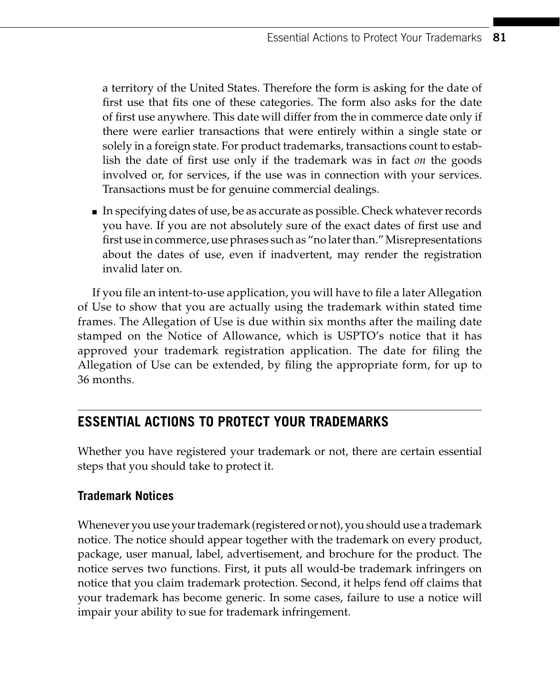a territory of the United States. Therefore the form is asking for the date of first use that fits one of these categories. The form also asks for the date of first use anywhere. This date will differ from the in commerce date only if there were earlier transactions that were entirely within a single state or solely in a foreign state. For product trademarks, transactions count to establish the date of first use only if the trademark was in fact *on* the goods involved or, for services, if the use was in connection with your services. Transactions must be for genuine commercial dealings.

■ In specifying dates of use, be as accurate as possible. Check whatever records you have. If you are not absolutely sure of the exact dates of first use and first use in commerce, use phrases such as "no later than." Misrepresentations about the dates of use, even if inadvertent, may render the registration invalid later on.

If you file an intent-to-use application, you will have to file a later Allegation of Use to show that you are actually using the trademark within stated time frames. The Allegation of Use is due within six months after the mailing date stamped on the Notice of Allowance, which is USPTO's notice that it has approved your trademark registration application. The date for filing the Allegation of Use can be extended, by filing the appropriate form, for up to 36 months.

# **ESSENTIAL ACTIONS TO PROTECT YOUR TRADEMARKS**

Whether you have registered your trademark or not, there are certain essential steps that you should take to protect it.

# **Trademark Notices**

Whenever you use your trademark (registered or not), you should use a trademark notice. The notice should appear together with the trademark on every product, package, user manual, label, advertisement, and brochure for the product. The notice serves two functions. First, it puts all would-be trademark infringers on notice that you claim trademark protection. Second, it helps fend off claims that your trademark has become generic. In some cases, failure to use a notice will impair your ability to sue for trademark infringement.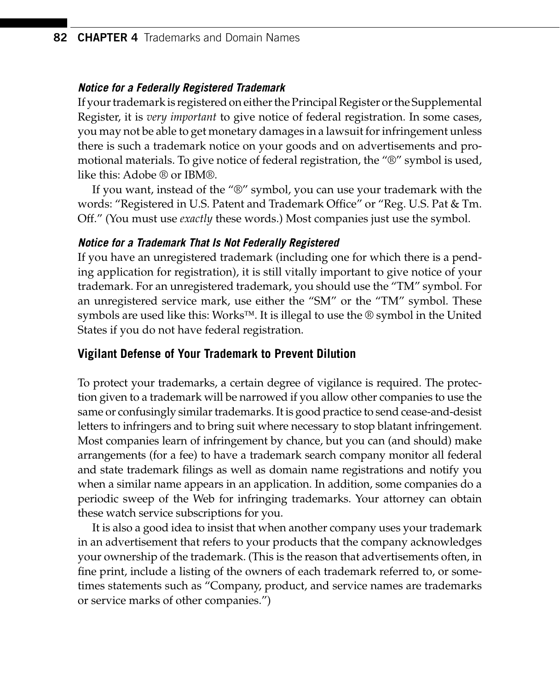# *Notice for a Federally Registered Trademark*

If your trademark is registered on either the Principal Register or the Supplemental Register, it is *very important* to give notice of federal registration. In some cases, you may not be able to get monetary damages in a lawsuit for infringement unless there is such a trademark notice on your goods and on advertisements and promotional materials. To give notice of federal registration, the "®" symbol is used, like this: Adobe ® or IBM®.

If you want, instead of the "®" symbol, you can use your trademark with the words: "Registered in U.S. Patent and Trademark Office" or "Reg. U.S. Pat & Tm. Off." (You must use *exactly* these words.) Most companies just use the symbol.

# *Notice for a Trademark That Is Not Federally Registered*

If you have an unregistered trademark (including one for which there is a pending application for registration), it is still vitally important to give notice of your trademark. For an unregistered trademark, you should use the "TM" symbol. For an unregistered service mark, use either the "SM" or the "TM" symbol. These symbols are used like this: Works™. It is illegal to use the ® symbol in the United States if you do not have federal registration.

# **Vigilant Defense of Your Trademark to Prevent Dilution**

To protect your trademarks, a certain degree of vigilance is required. The protection given to a trademark will be narrowed if you allow other companies to use the same or confusingly similar trademarks. It is good practice to send cease-and-desist letters to infringers and to bring suit where necessary to stop blatant infringement. Most companies learn of infringement by chance, but you can (and should) make arrangements (for a fee) to have a trademark search company monitor all federal and state trademark filings as well as domain name registrations and notify you when a similar name appears in an application. In addition, some companies do a periodic sweep of the Web for infringing trademarks. Your attorney can obtain these watch service subscriptions for you.

It is also a good idea to insist that when another company uses your trademark in an advertisement that refers to your products that the company acknowledges your ownership of the trademark. (This is the reason that advertisements often, in fine print, include a listing of the owners of each trademark referred to, or sometimes statements such as "Company, product, and service names are trademarks or service marks of other companies.")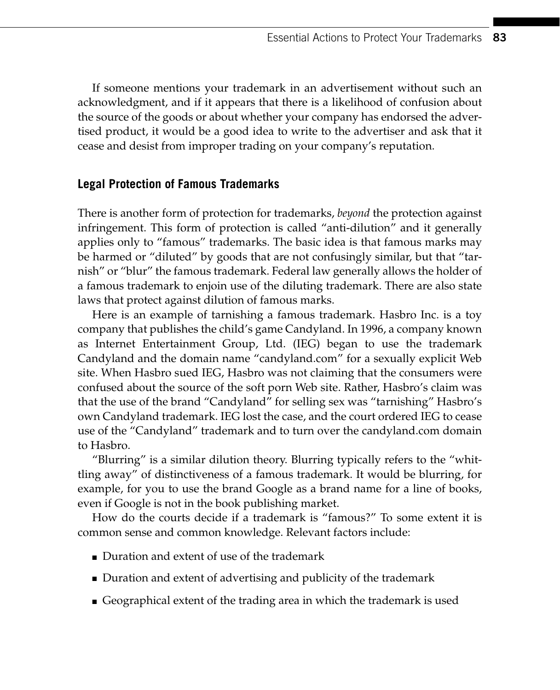If someone mentions your trademark in an advertisement without such an acknowledgment, and if it appears that there is a likelihood of confusion about the source of the goods or about whether your company has endorsed the advertised product, it would be a good idea to write to the advertiser and ask that it cease and desist from improper trading on your company's reputation.

# **Legal Protection of Famous Trademarks**

There is another form of protection for trademarks, *beyond* the protection against infringement. This form of protection is called "anti-dilution" and it generally applies only to "famous" trademarks. The basic idea is that famous marks may be harmed or "diluted" by goods that are not confusingly similar, but that "tarnish" or "blur" the famous trademark. Federal law generally allows the holder of a famous trademark to enjoin use of the diluting trademark. There are also state laws that protect against dilution of famous marks.

Here is an example of tarnishing a famous trademark. Hasbro Inc. is a toy company that publishes the child's game Candyland. In 1996, a company known as Internet Entertainment Group, Ltd. (IEG) began to use the trademark Candyland and the domain name "candyland.com" for a sexually explicit Web site. When Hasbro sued IEG, Hasbro was not claiming that the consumers were confused about the source of the soft porn Web site. Rather, Hasbro's claim was that the use of the brand "Candyland" for selling sex was "tarnishing" Hasbro's own Candyland trademark. IEG lost the case, and the court ordered IEG to cease use of the "Candyland" trademark and to turn over the candyland.com domain to Hasbro.

"Blurring" is a similar dilution theory. Blurring typically refers to the "whittling away" of distinctiveness of a famous trademark. It would be blurring, for example, for you to use the brand Google as a brand name for a line of books, even if Google is not in the book publishing market.

How do the courts decide if a trademark is "famous?" To some extent it is common sense and common knowledge. Relevant factors include:

- Duration and extent of use of the trademark
- Duration and extent of advertising and publicity of the trademark
- Geographical extent of the trading area in which the trademark is used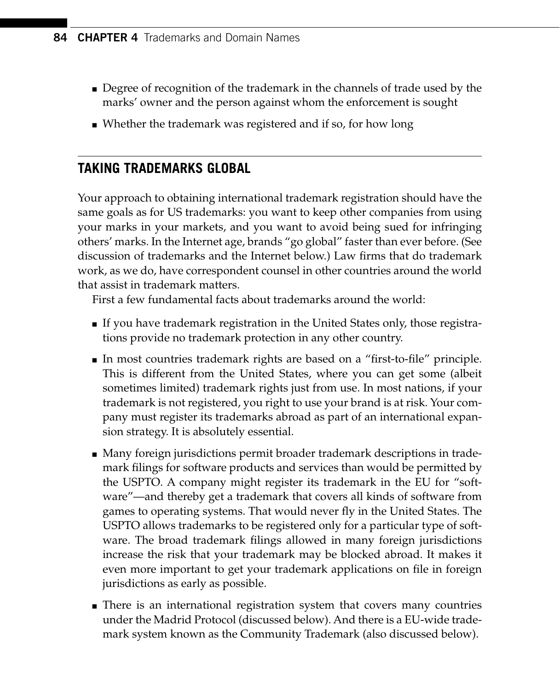- Degree of recognition of the trademark in the channels of trade used by the marks' owner and the person against whom the enforcement is sought
- Whether the trademark was registered and if so, for how long

# **TAKING TRADEMARKS GLOBAL**

Your approach to obtaining international trademark registration should have the same goals as for US trademarks: you want to keep other companies from using your marks in your markets, and you want to avoid being sued for infringing others' marks. In the Internet age, brands "go global" faster than ever before. (See discussion of trademarks and the Internet below.) Law firms that do trademark work, as we do, have correspondent counsel in other countries around the world that assist in trademark matters.

First a few fundamental facts about trademarks around the world:

- If you have trademark registration in the United States only, those registrations provide no trademark protection in any other country.
- In most countries trademark rights are based on a "first-to-file" principle. This is different from the United States, where you can get some (albeit sometimes limited) trademark rights just from use. In most nations, if your trademark is not registered, you right to use your brand is at risk. Your company must register its trademarks abroad as part of an international expansion strategy. It is absolutely essential.
- Many foreign jurisdictions permit broader trademark descriptions in trademark filings for software products and services than would be permitted by the USPTO. A company might register its trademark in the EU for "software"—and thereby get a trademark that covers all kinds of software from games to operating systems. That would never fly in the United States. The USPTO allows trademarks to be registered only for a particular type of software. The broad trademark filings allowed in many foreign jurisdictions increase the risk that your trademark may be blocked abroad. It makes it even more important to get your trademark applications on file in foreign jurisdictions as early as possible.
- There is an international registration system that covers many countries under the Madrid Protocol (discussed below). And there is a EU-wide trademark system known as the Community Trademark (also discussed below).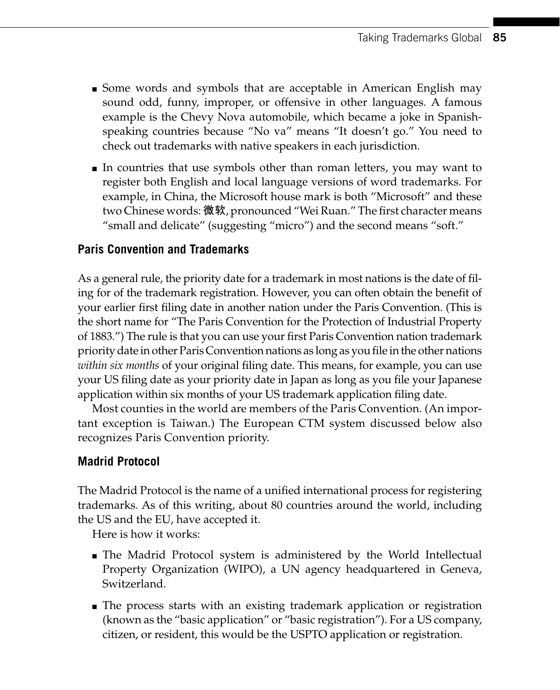- Some words and symbols that are acceptable in American English may sound odd, funny, improper, or offensive in other languages. A famous example is the Chevy Nova automobile, which became a joke in Spanishspeaking countries because "No va" means "It doesn't go." You need to check out trademarks with native speakers in each jurisdiction.
- $\blacksquare$  In countries that use symbols other than roman letters, you may want to register both English and local language versions of word trademarks. For example, in China, the Microsoft house mark is both "Microsoft" and these two Chinese words: 微软, pronounced "Wei Ruan." The first character means "small and delicate" (suggesting "micro") and the second means "soft."

# **Paris Convention and Trademarks**

As a general rule, the priority date for a trademark in most nations is the date of filing for of the trademark registration. However, you can often obtain the benefit of your earlier first filing date in another nation under the Paris Convention. (This is the short name for "The Paris Convention for the Protection of Industrial Property of 1883.") The rule is that you can use your first Paris Convention nation trademark priority date in other Paris Convention nations as long as you file in the other nations *within six months* of your original filing date. This means, for example, you can use your US filing date as your priority date in Japan as long as you file your Japanese application within six months of your US trademark application filing date.

Most counties in the world are members of the Paris Convention. (An important exception is Taiwan.) The European CTM system discussed below also recognizes Paris Convention priority.

# **Madrid Protocol**

The Madrid Protocol is the name of a unified international process for registering trademarks. As of this writing, about 80 countries around the world, including the US and the EU, have accepted it.

Here is how it works:

- The Madrid Protocol system is administered by the World Intellectual Property Organization (WIPO), a UN agency headquartered in Geneva, Switzerland.
- The process starts with an existing trademark application or registration (known as the "basic application" or "basic registration"). For a US company, citizen, or resident, this would be the USPTO application or registration.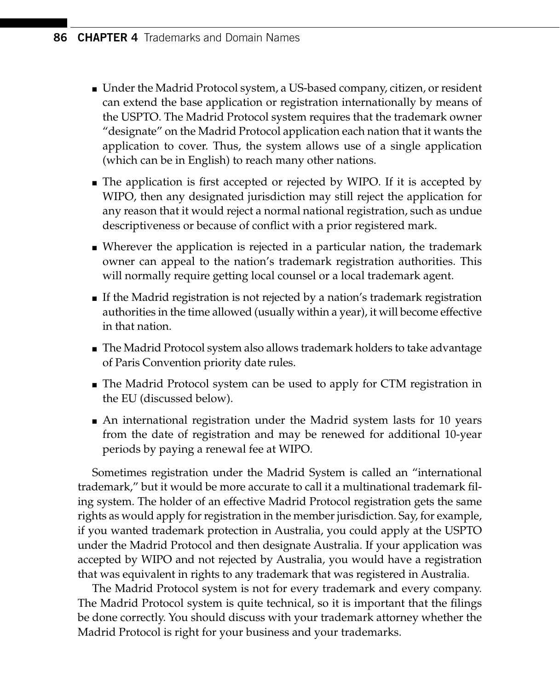- Under the Madrid Protocol system, a US-based company, citizen, or resident can extend the base application or registration internationally by means of the USPTO. The Madrid Protocol system requires that the trademark owner "designate" on the Madrid Protocol application each nation that it wants the application to cover. Thus, the system allows use of a single application (which can be in English) to reach many other nations.
- $\blacksquare$  The application is first accepted or rejected by WIPO. If it is accepted by WIPO, then any designated jurisdiction may still reject the application for any reason that it would reject a normal national registration, such as undue descriptiveness or because of conflict with a prior registered mark.
- Wherever the application is rejected in a particular nation, the trademark owner can appeal to the nation's trademark registration authorities. This will normally require getting local counsel or a local trademark agent.
- If the Madrid registration is not rejected by a nation's trademark registration authorities in the time allowed (usually within a year), it will become effective in that nation.
- The Madrid Protocol system also allows trademark holders to take advantage of Paris Convention priority date rules.
- The Madrid Protocol system can be used to apply for CTM registration in the EU (discussed below).
- An international registration under the Madrid system lasts for 10 years from the date of registration and may be renewed for additional 10-year periods by paying a renewal fee at WIPO.

Sometimes registration under the Madrid System is called an "international trademark," but it would be more accurate to call it a multinational trademark filing system. The holder of an effective Madrid Protocol registration gets the same rights as would apply for registration in the member jurisdiction. Say, for example, if you wanted trademark protection in Australia, you could apply at the USPTO under the Madrid Protocol and then designate Australia. If your application was accepted by WIPO and not rejected by Australia, you would have a registration that was equivalent in rights to any trademark that was registered in Australia.

The Madrid Protocol system is not for every trademark and every company. The Madrid Protocol system is quite technical, so it is important that the filings be done correctly. You should discuss with your trademark attorney whether the Madrid Protocol is right for your business and your trademarks.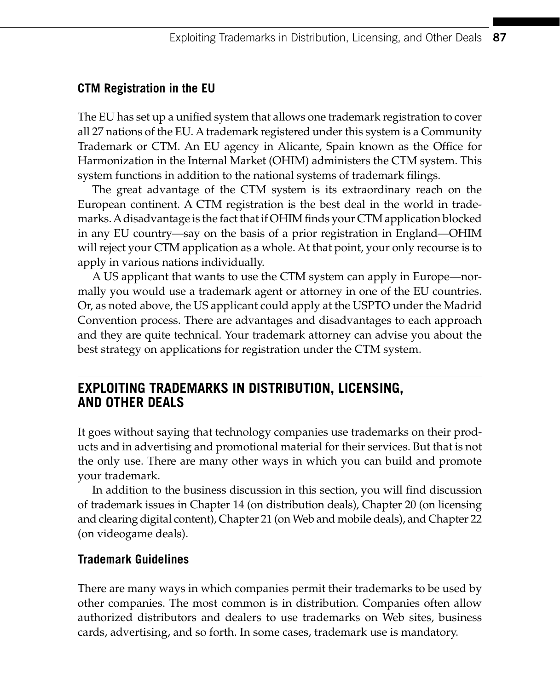# **CTM Registration in the EU**

The EU has set up a unified system that allows one trademark registration to cover all 27 nations of the EU. A trademark registered under this system is a Community Trademark or CTM. An EU agency in Alicante, Spain known as the Office for Harmonization in the Internal Market (OHIM) administers the CTM system. This system functions in addition to the national systems of trademark filings.

The great advantage of the CTM system is its extraordinary reach on the European continent. A CTM registration is the best deal in the world in trademarks. A disadvantage is the fact that if OHIM finds your CTM application blocked in any EU country—say on the basis of a prior registration in England—OHIM will reject your CTM application as a whole. At that point, your only recourse is to apply in various nations individually.

A US applicant that wants to use the CTM system can apply in Europe—normally you would use a trademark agent or attorney in one of the EU countries. Or, as noted above, the US applicant could apply at the USPTO under the Madrid Convention process. There are advantages and disadvantages to each approach and they are quite technical. Your trademark attorney can advise you about the best strategy on applications for registration under the CTM system.

# **EXPLOITING TRADEMARKS IN DISTRIBUTION, LICENSING, AND OTHER DEALS**

It goes without saying that technology companies use trademarks on their products and in advertising and promotional material for their services. But that is not the only use. There are many other ways in which you can build and promote your trademark.

In addition to the business discussion in this section, you will find discussion of trademark issues in Chapter 14 (on distribution deals), Chapter 20 (on licensing and clearing digital content), Chapter 21 (on Web and mobile deals), and Chapter 22 (on videogame deals).

### **Trademark Guidelines**

There are many ways in which companies permit their trademarks to be used by other companies. The most common is in distribution. Companies often allow authorized distributors and dealers to use trademarks on Web sites, business cards, advertising, and so forth. In some cases, trademark use is mandatory.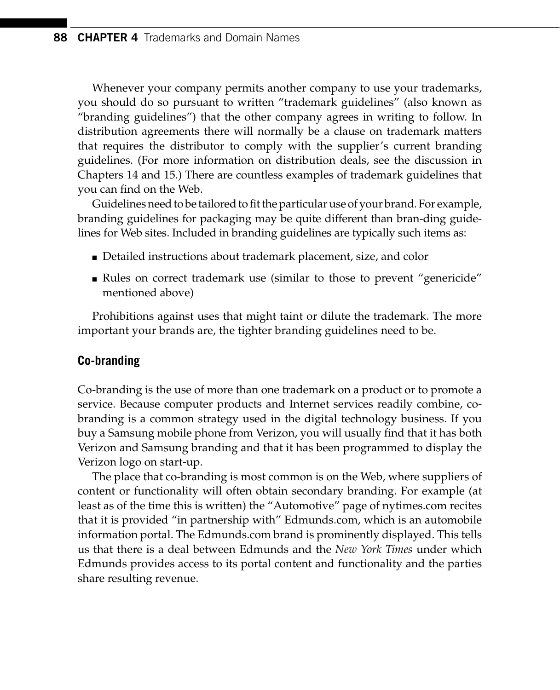Whenever your company permits another company to use your trademarks, you should do so pursuant to written "trademark guidelines" (also known as "branding guidelines") that the other company agrees in writing to follow. In distribution agreements there will normally be a clause on trademark matters that requires the distributor to comply with the supplier's current branding guidelines. (For more information on distribution deals, see the discussion in Chapters 14 and 15.) There are countless examples of trademark guidelines that you can find on the Web.

Guidelines need to be tailored to fit the particular use of your brand. For example, branding guidelines for packaging may be quite different than bran-ding guidelines for Web sites. Included in branding guidelines are typically such items as:

- Detailed instructions about trademark placement, size, and color
- Rules on correct trademark use (similar to those to prevent "genericide" mentioned above)

Prohibitions against uses that might taint or dilute the trademark. The more important your brands are, the tighter branding guidelines need to be.

# **Co-branding**

Co-branding is the use of more than one trademark on a product or to promote a service. Because computer products and Internet services readily combine, cobranding is a common strategy used in the digital technology business. If you buy a Samsung mobile phone from Verizon, you will usually find that it has both Verizon and Samsung branding and that it has been programmed to display the Verizon logo on start-up.

The place that co-branding is most common is on the Web, where suppliers of content or functionality will often obtain secondary branding. For example (at least as of the time this is written) the "Automotive" page of nytimes.com recites that it is provided "in partnership with" Edmunds.com, which is an automobile information portal. The Edmunds.com brand is prominently displayed. This tells us that there is a deal between Edmunds and the *New York Times* under which Edmunds provides access to its portal content and functionality and the parties share resulting revenue.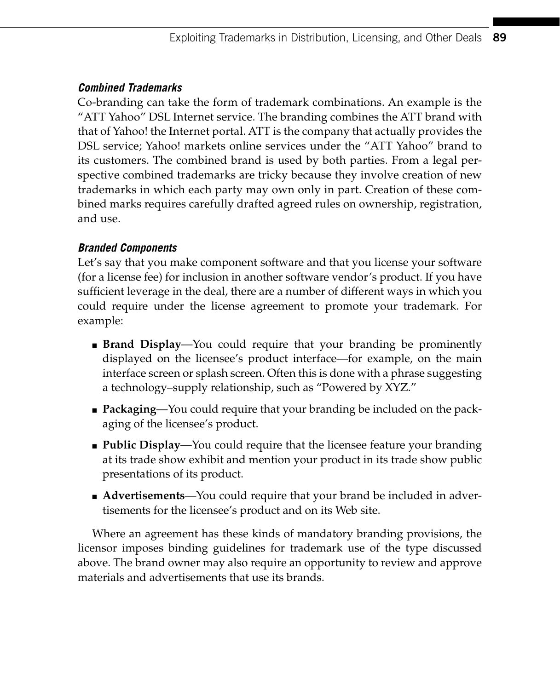# *Combined Trademarks*

Co-branding can take the form of trademark combinations. An example is the "ATT Yahoo" DSL Internet service. The branding combines the ATT brand with that of Yahoo! the Internet portal. ATT is the company that actually provides the DSL service; Yahoo! markets online services under the "ATT Yahoo" brand to its customers. The combined brand is used by both parties. From a legal perspective combined trademarks are tricky because they involve creation of new trademarks in which each party may own only in part. Creation of these combined marks requires carefully drafted agreed rules on ownership, registration, and use.

# *Branded Components*

Let's say that you make component software and that you license your software (for a license fee) for inclusion in another software vendor's product. If you have sufficient leverage in the deal, there are a number of different ways in which you could require under the license agreement to promote your trademark. For example:

- **Brand Display—You** could require that your branding be prominently displayed on the licensee's product interface—for example, on the main interface screen or splash screen. Often this is done with a phrase suggesting a technology–supply relationship, such as "Powered by XYZ."
- Packaging—You could require that your branding be included on the packaging of the licensee's product.
- **Public Display—Y**ou could require that the licensee feature your branding at its trade show exhibit and mention your product in its trade show public presentations of its product.
- **Advertisements**—You could require that your brand be included in advertisements for the licensee's product and on its Web site.

Where an agreement has these kinds of mandatory branding provisions, the licensor imposes binding guidelines for trademark use of the type discussed above. The brand owner may also require an opportunity to review and approve materials and advertisements that use its brands.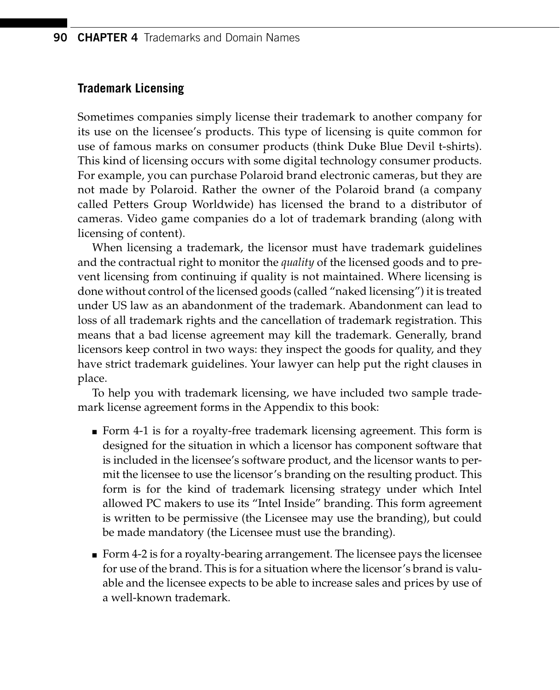# **Trademark Licensing**

Sometimes companies simply license their trademark to another company for its use on the licensee's products. This type of licensing is quite common for use of famous marks on consumer products (think Duke Blue Devil t-shirts). This kind of licensing occurs with some digital technology consumer products. For example, you can purchase Polaroid brand electronic cameras, but they are not made by Polaroid. Rather the owner of the Polaroid brand (a company called Petters Group Worldwide) has licensed the brand to a distributor of cameras. Video game companies do a lot of trademark branding (along with licensing of content).

When licensing a trademark, the licensor must have trademark guidelines and the contractual right to monitor the *quality* of the licensed goods and to prevent licensing from continuing if quality is not maintained. Where licensing is done without control of the licensed goods (called "naked licensing") it is treated under US law as an abandonment of the trademark. Abandonment can lead to loss of all trademark rights and the cancellation of trademark registration. This means that a bad license agreement may kill the trademark. Generally, brand licensors keep control in two ways: they inspect the goods for quality, and they have strict trademark guidelines. Your lawyer can help put the right clauses in place.

To help you with trademark licensing, we have included two sample trademark license agreement forms in the Appendix to this book:

- Form 4-1 is for a royalty-free trademark licensing agreement. This form is designed for the situation in which a licensor has component software that is included in the licensee's software product, and the licensor wants to permit the licensee to use the licensor's branding on the resulting product. This form is for the kind of trademark licensing strategy under which Intel allowed PC makers to use its "Intel Inside" branding. This form agreement is written to be permissive (the Licensee may use the branding), but could be made mandatory (the Licensee must use the branding).
- Form 4-2 is for a royalty-bearing arrangement. The licensee pays the licensee for use of the brand. This is for a situation where the licensor's brand is valuable and the licensee expects to be able to increase sales and prices by use of a well-known trademark.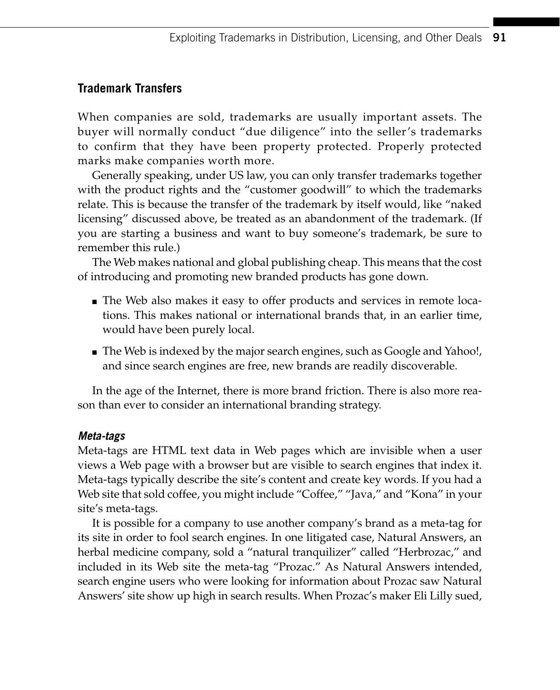# **Trademark Transfers**

When companies are sold, trademarks are usually important assets. The buyer will normally conduct "due diligence" into the seller's trademarks to confirm that they have been property protected. Properly protected marks make companies worth more.

Generally speaking, under US law, you can only transfer trademarks together with the product rights and the "customer goodwill" to which the trademarks relate. This is because the transfer of the trademark by itself would, like "naked licensing" discussed above, be treated as an abandonment of the trademark. (If you are starting a business and want to buy someone's trademark, be sure to remember this rule.)

The Web makes national and global publishing cheap. This means that the cost of introducing and promoting new branded products has gone down.

- The Web also makes it easy to offer products and services in remote locations. This makes national or international brands that, in an earlier time, would have been purely local.
- The Web is indexed by the major search engines, such as Google and Yahoo!, and since search engines are free, new brands are readily discoverable.

In the age of the Internet, there is more brand friction. There is also more reason than ever to consider an international branding strategy.

# *Meta-tags*

Meta-tags are HTML text data in Web pages which are invisible when a user views a Web page with a browser but are visible to search engines that index it. Meta-tags typically describe the site's content and create key words. If you had a Web site that sold coffee, you might include "Coffee," "Java," and "Kona" in your site's meta-tags.

It is possible for a company to use another company's brand as a meta-tag for its site in order to fool search engines. In one litigated case, Natural Answers, an herbal medicine company, sold a "natural tranquilizer" called "Herbrozac," and included in its Web site the meta-tag "Prozac." As Natural Answers intended, search engine users who were looking for information about Prozac saw Natural Answers' site show up high in search results. When Prozac's maker Eli Lilly sued,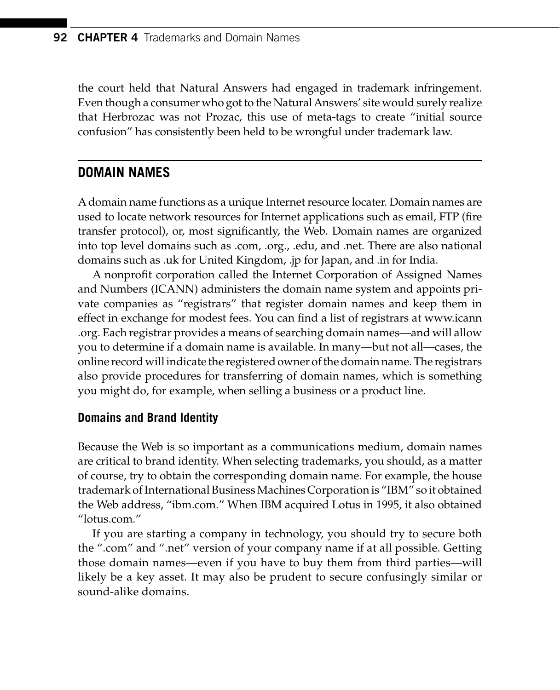the court held that Natural Answers had engaged in trademark infringement. Even though a consumer who got to the NaturalAnswers' site would surely realize that Herbrozac was not Prozac, this use of meta-tags to create "initial source confusion" has consistently been held to be wrongful under trademark law.

# **DOMAIN NAMES**

Adomain name functions as a unique Internet resource locater. Domain names are used to locate network resources for Internet applications such as email, FTP (fire transfer protocol), or, most significantly, the Web. Domain names are organized into top level domains such as .com, .org., .edu, and .net. There are also national domains such as .uk for United Kingdom, .jp for Japan, and .in for India.

A nonprofit corporation called the Internet Corporation of Assigned Names and Numbers (ICANN) administers the domain name system and appoints private companies as "registrars" that register domain names and keep them in effect in exchange for modest fees. You can find a list of registrars at www.icann .org. Each registrar provides a means of searching domain names—and will allow you to determine if a domain name is available. In many—but not all—cases, the online record will indicate the registered owner of the domain name. The registrars also provide procedures for transferring of domain names, which is something you might do, for example, when selling a business or a product line.

# **Domains and Brand Identity**

Because the Web is so important as a communications medium, domain names are critical to brand identity. When selecting trademarks, you should, as a matter of course, try to obtain the corresponding domain name. For example, the house trademark of International Business Machines Corporation is "IBM" so it obtained the Web address, "ibm.com." When IBM acquired Lotus in 1995, it also obtained "lotus.com."

If you are starting a company in technology, you should try to secure both the ".com" and ".net" version of your company name if at all possible. Getting those domain names—even if you have to buy them from third parties—will likely be a key asset. It may also be prudent to secure confusingly similar or sound-alike domains.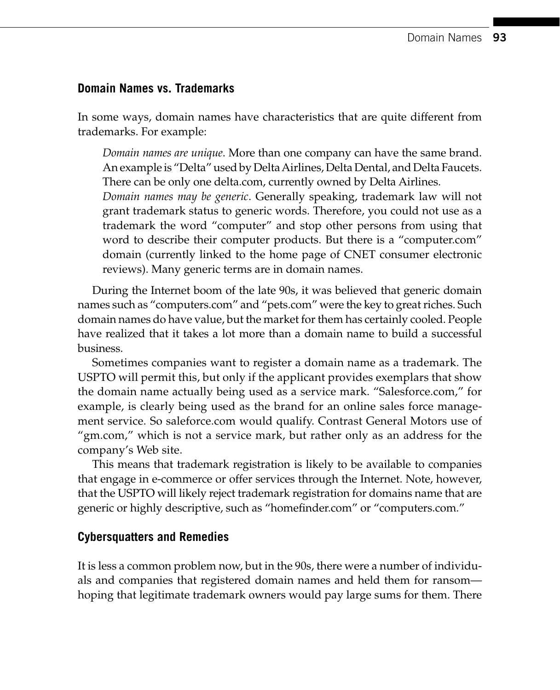# **Domain Names vs. Trademarks**

In some ways, domain names have characteristics that are quite different from trademarks. For example:

*Domain names are unique*. More than one company can have the same brand. An example is "Delta" used by Delta Airlines, Delta Dental, and Delta Faucets. There can be only one delta.com, currently owned by Delta Airlines.

*Domain names may be generic*. Generally speaking, trademark law will not grant trademark status to generic words. Therefore, you could not use as a trademark the word "computer" and stop other persons from using that word to describe their computer products. But there is a "computer.com" domain (currently linked to the home page of CNET consumer electronic reviews). Many generic terms are in domain names.

During the Internet boom of the late 90s, it was believed that generic domain names such as "computers.com" and "pets.com" were the key to great riches. Such domain names do have value, but the market for them has certainly cooled. People have realized that it takes a lot more than a domain name to build a successful business.

Sometimes companies want to register a domain name as a trademark. The USPTO will permit this, but only if the applicant provides exemplars that show the domain name actually being used as a service mark. "Salesforce.com," for example, is clearly being used as the brand for an online sales force management service. So saleforce.com would qualify. Contrast General Motors use of "gm.com," which is not a service mark, but rather only as an address for the company's Web site.

This means that trademark registration is likely to be available to companies that engage in e-commerce or offer services through the Internet. Note, however, that the USPTO will likely reject trademark registration for domains name that are generic or highly descriptive, such as "homefinder.com" or "computers.com."

# **Cybersquatters and Remedies**

It is less a common problem now, but in the 90s, there were a number of individuals and companies that registered domain names and held them for ransom hoping that legitimate trademark owners would pay large sums for them. There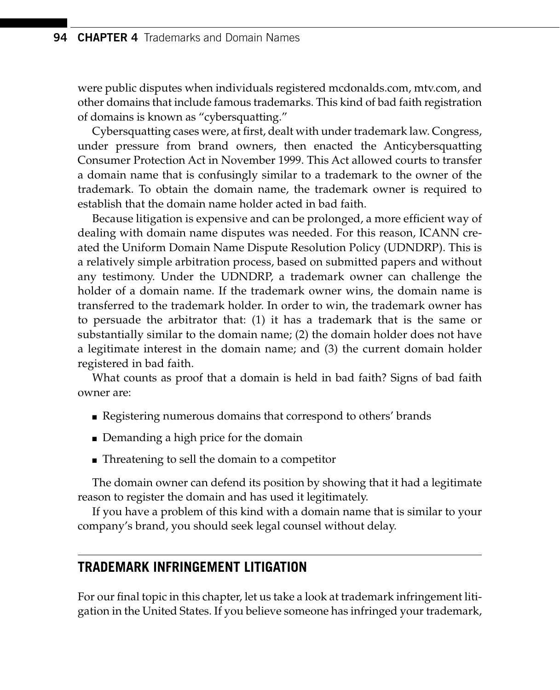were public disputes when individuals registered mcdonalds.com, mtv.com, and other domains that include famous trademarks. This kind of bad faith registration of domains is known as "cybersquatting."

Cybersquatting cases were, at first, dealt with under trademark law. Congress, under pressure from brand owners, then enacted the Anticybersquatting Consumer Protection Act in November 1999. This Act allowed courts to transfer a domain name that is confusingly similar to a trademark to the owner of the trademark. To obtain the domain name, the trademark owner is required to establish that the domain name holder acted in bad faith.

Because litigation is expensive and can be prolonged, a more efficient way of dealing with domain name disputes was needed. For this reason, ICANN created the Uniform Domain Name Dispute Resolution Policy (UDNDRP). This is a relatively simple arbitration process, based on submitted papers and without any testimony. Under the UDNDRP, a trademark owner can challenge the holder of a domain name. If the trademark owner wins, the domain name is transferred to the trademark holder. In order to win, the trademark owner has to persuade the arbitrator that: (1) it has a trademark that is the same or substantially similar to the domain name; (2) the domain holder does not have a legitimate interest in the domain name; and (3) the current domain holder registered in bad faith.

What counts as proof that a domain is held in bad faith? Signs of bad faith owner are:

- Registering numerous domains that correspond to others' brands
- Demanding a high price for the domain
- Threatening to sell the domain to a competitor

The domain owner can defend its position by showing that it had a legitimate reason to register the domain and has used it legitimately.

If you have a problem of this kind with a domain name that is similar to your company's brand, you should seek legal counsel without delay.

# **TRADEMARK INFRINGEMENT LITIGATION**

For our final topic in this chapter, let us take a look at trademark infringement litigation in the United States. If you believe someone has infringed your trademark,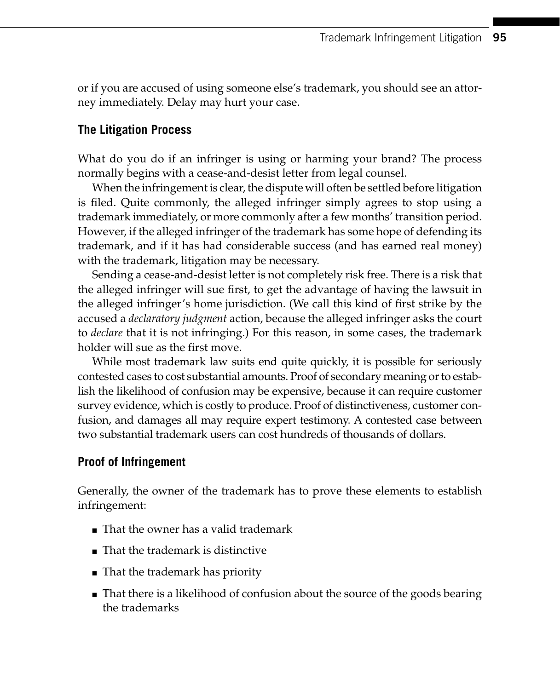or if you are accused of using someone else's trademark, you should see an attorney immediately. Delay may hurt your case.

# **The Litigation Process**

What do you do if an infringer is using or harming your brand? The process normally begins with a cease-and-desist letter from legal counsel.

When the infringement is clear, the dispute will often be settled before litigation is filed. Quite commonly, the alleged infringer simply agrees to stop using a trademark immediately, or more commonly after a few months' transition period. However, if the alleged infringer of the trademark has some hope of defending its trademark, and if it has had considerable success (and has earned real money) with the trademark, litigation may be necessary.

Sending a cease-and-desist letter is not completely risk free. There is a risk that the alleged infringer will sue first, to get the advantage of having the lawsuit in the alleged infringer's home jurisdiction. (We call this kind of first strike by the accused a *declaratory judgment* action, because the alleged infringer asks the court to *declare* that it is not infringing.) For this reason, in some cases, the trademark holder will sue as the first move.

While most trademark law suits end quite quickly, it is possible for seriously contested cases to cost substantial amounts. Proof of secondary meaning or to establish the likelihood of confusion may be expensive, because it can require customer survey evidence, which is costly to produce. Proof of distinctiveness, customer confusion, and damages all may require expert testimony. A contested case between two substantial trademark users can cost hundreds of thousands of dollars.

# **Proof of Infringement**

Generally, the owner of the trademark has to prove these elements to establish infringement:

- That the owner has a valid trademark ■
- $\blacksquare$  That the trademark is distinctive
- That the trademark has priority ■
- That there is a likelihood of confusion about the source of the goods bearing the trademarks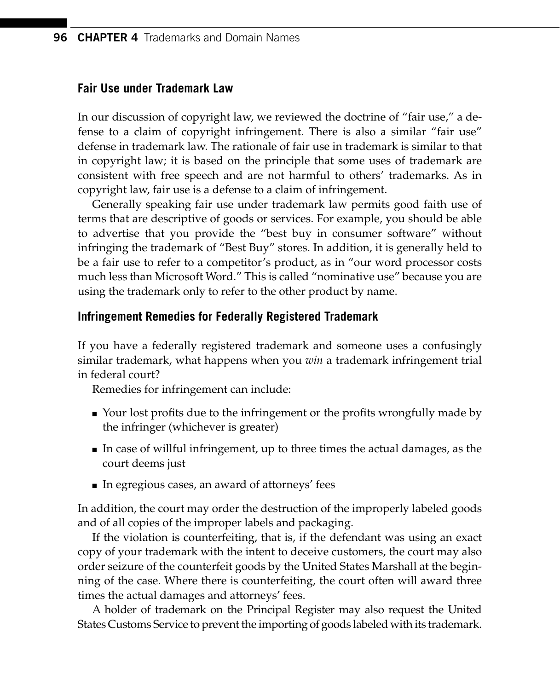### **Fair Use under Trademark Law**

In our discussion of copyright law, we reviewed the doctrine of "fair use," a defense to a claim of copyright infringement. There is also a similar "fair use" defense in trademark law. The rationale of fair use in trademark is similar to that in copyright law; it is based on the principle that some uses of trademark are consistent with free speech and are not harmful to others' trademarks. As in copyright law, fair use is a defense to a claim of infringement.

Generally speaking fair use under trademark law permits good faith use of terms that are descriptive of goods or services. For example, you should be able to advertise that you provide the "best buy in consumer software" without infringing the trademark of "Best Buy" stores. In addition, it is generally held to be a fair use to refer to a competitor's product, as in "our word processor costs much less than Microsoft Word." This is called "nominative use" because you are using the trademark only to refer to the other product by name.

# **Infringement Remedies for Federally Registered Trademark**

If you have a federally registered trademark and someone uses a confusingly similar trademark, what happens when you *win* a trademark infringement trial in federal court?

Remedies for infringement can include:

- Your lost profits due to the infringement or the profits wrongfully made by the infringer (whichever is greater)
- In case of willful infringement, up to three times the actual damages, as the court deems just
- In egregious cases*,* an award of attorneys' fees

In addition, the court may order the destruction of the improperly labeled goods and of all copies of the improper labels and packaging.

If the violation is counterfeiting, that is, if the defendant was using an exact copy of your trademark with the intent to deceive customers, the court may also order seizure of the counterfeit goods by the United States Marshall at the beginning of the case. Where there is counterfeiting, the court often will award three times the actual damages and attorneys' fees.

A holder of trademark on the Principal Register may also request the United States Customs Service to prevent the importing of goods labeled with its trademark.